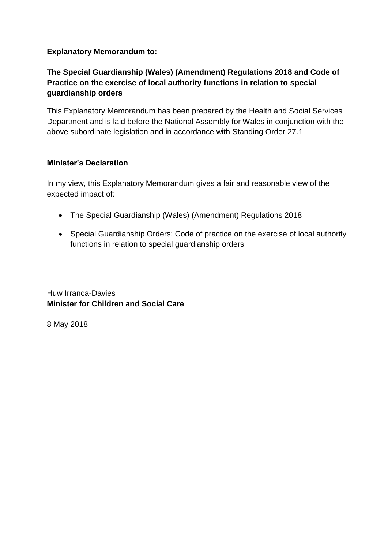#### **Explanatory Memorandum to:**

## **The Special Guardianship (Wales) (Amendment) Regulations 2018 and Code of Practice on the exercise of local authority functions in relation to special guardianship orders**

This Explanatory Memorandum has been prepared by the Health and Social Services Department and is laid before the National Assembly for Wales in conjunction with the above subordinate legislation and in accordance with Standing Order 27.1

#### **Minister's Declaration**

In my view, this Explanatory Memorandum gives a fair and reasonable view of the expected impact of:

- The Special Guardianship (Wales) (Amendment) Regulations 2018
- Special Guardianship Orders: Code of practice on the exercise of local authority functions in relation to special guardianship orders

Huw Irranca-Davies **Minister for Children and Social Care**

8 May 2018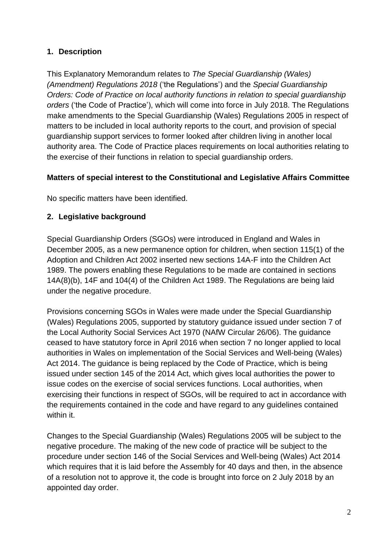# **1. Description**

This Explanatory Memorandum relates to *The Special Guardianship (Wales) (Amendment) Regulations 2018* ('the Regulations') and the *Special Guardianship Orders: Code of Practice on local authority functions in relation to special guardianship orders* ('the Code of Practice'), which will come into force in July 2018. The Regulations make amendments to the Special Guardianship (Wales) Regulations 2005 in respect of matters to be included in local authority reports to the court, and provision of special guardianship support services to former looked after children living in another local authority area. The Code of Practice places requirements on local authorities relating to the exercise of their functions in relation to special guardianship orders.

## **Matters of special interest to the Constitutional and Legislative Affairs Committee**

No specific matters have been identified.

### **2. Legislative background**

Special Guardianship Orders (SGOs) were introduced in England and Wales in December 2005, as a new permanence option for children, when section 115(1) of the Adoption and Children Act 2002 inserted new sections 14A-F into the Children Act 1989. The powers enabling these Regulations to be made are contained in sections 14A(8)(b), 14F and 104(4) of the Children Act 1989. The Regulations are being laid under the negative procedure.

Provisions concerning SGOs in Wales were made under the Special Guardianship (Wales) Regulations 2005, supported by statutory guidance issued under section 7 of the Local Authority Social Services Act 1970 (NAfW Circular 26/06). The guidance ceased to have statutory force in April 2016 when section 7 no longer applied to local authorities in Wales on implementation of the Social Services and Well-being (Wales) Act 2014. The guidance is being replaced by the Code of Practice, which is being issued under section 145 of the 2014 Act, which gives local authorities the power to issue codes on the exercise of social services functions. Local authorities, when exercising their functions in respect of SGOs, will be required to act in accordance with the requirements contained in the code and have regard to any guidelines contained within it.

Changes to the Special Guardianship (Wales) Regulations 2005 will be subject to the negative procedure. The making of the new code of practice will be subject to the procedure under section 146 of the Social Services and Well-being (Wales) Act 2014 which requires that it is laid before the Assembly for 40 days and then, in the absence of a resolution not to approve it, the code is brought into force on 2 July 2018 by an appointed day order.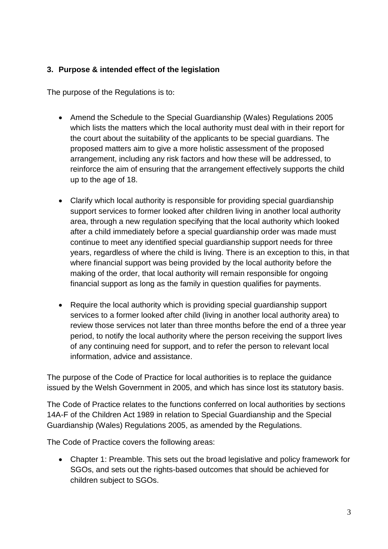## **3. Purpose & intended effect of the legislation**

The purpose of the Regulations is to:

- Amend the Schedule to the Special Guardianship (Wales) Regulations 2005 which lists the matters which the local authority must deal with in their report for the court about the suitability of the applicants to be special guardians. The proposed matters aim to give a more holistic assessment of the proposed arrangement, including any risk factors and how these will be addressed, to reinforce the aim of ensuring that the arrangement effectively supports the child up to the age of 18.
- Clarify which local authority is responsible for providing special guardianship support services to former looked after children living in another local authority area, through a new regulation specifying that the local authority which looked after a child immediately before a special guardianship order was made must continue to meet any identified special guardianship support needs for three years, regardless of where the child is living. There is an exception to this, in that where financial support was being provided by the local authority before the making of the order, that local authority will remain responsible for ongoing financial support as long as the family in question qualifies for payments.
- Require the local authority which is providing special quardianship support services to a former looked after child (living in another local authority area) to review those services not later than three months before the end of a three year period, to notify the local authority where the person receiving the support lives of any continuing need for support, and to refer the person to relevant local information, advice and assistance.

The purpose of the Code of Practice for local authorities is to replace the guidance issued by the Welsh Government in 2005, and which has since lost its statutory basis.

The Code of Practice relates to the functions conferred on local authorities by sections 14A-F of the Children Act 1989 in relation to Special Guardianship and the Special Guardianship (Wales) Regulations 2005, as amended by the Regulations.

The Code of Practice covers the following areas:

 Chapter 1: Preamble. This sets out the broad legislative and policy framework for SGOs, and sets out the rights-based outcomes that should be achieved for children subject to SGOs.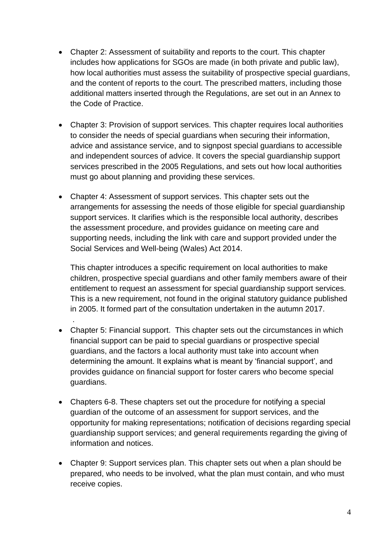- Chapter 2: Assessment of suitability and reports to the court. This chapter includes how applications for SGOs are made (in both private and public law), how local authorities must assess the suitability of prospective special guardians, and the content of reports to the court. The prescribed matters, including those additional matters inserted through the Regulations, are set out in an Annex to the Code of Practice.
- Chapter 3: Provision of support services. This chapter requires local authorities to consider the needs of special guardians when securing their information, advice and assistance service, and to signpost special guardians to accessible and independent sources of advice. It covers the special guardianship support services prescribed in the 2005 Regulations, and sets out how local authorities must go about planning and providing these services.
- Chapter 4: Assessment of support services. This chapter sets out the arrangements for assessing the needs of those eligible for special guardianship support services. It clarifies which is the responsible local authority, describes the assessment procedure, and provides guidance on meeting care and supporting needs, including the link with care and support provided under the Social Services and Well-being (Wales) Act 2014.

This chapter introduces a specific requirement on local authorities to make children, prospective special guardians and other family members aware of their entitlement to request an assessment for special guardianship support services. This is a new requirement, not found in the original statutory guidance published in 2005. It formed part of the consultation undertaken in the autumn 2017.

 Chapter 5: Financial support. This chapter sets out the circumstances in which financial support can be paid to special guardians or prospective special guardians, and the factors a local authority must take into account when determining the amount. It explains what is meant by 'financial support', and provides guidance on financial support for foster carers who become special guardians.

.

- Chapters 6-8. These chapters set out the procedure for notifying a special guardian of the outcome of an assessment for support services, and the opportunity for making representations; notification of decisions regarding special guardianship support services; and general requirements regarding the giving of information and notices.
- Chapter 9: Support services plan. This chapter sets out when a plan should be prepared, who needs to be involved, what the plan must contain, and who must receive copies.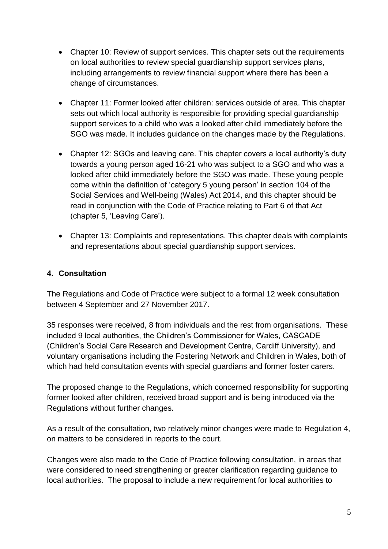- Chapter 10: Review of support services. This chapter sets out the requirements on local authorities to review special guardianship support services plans, including arrangements to review financial support where there has been a change of circumstances.
- Chapter 11: Former looked after children: services outside of area. This chapter sets out which local authority is responsible for providing special guardianship support services to a child who was a looked after child immediately before the SGO was made. It includes guidance on the changes made by the Regulations.
- Chapter 12: SGOs and leaving care. This chapter covers a local authority's duty towards a young person aged 16-21 who was subject to a SGO and who was a looked after child immediately before the SGO was made. These young people come within the definition of 'category 5 young person' in section 104 of the Social Services and Well-being (Wales) Act 2014, and this chapter should be read in conjunction with the Code of Practice relating to Part 6 of that Act (chapter 5, 'Leaving Care').
- Chapter 13: Complaints and representations. This chapter deals with complaints and representations about special guardianship support services.

### **4. Consultation**

The Regulations and Code of Practice were subject to a formal 12 week consultation between 4 September and 27 November 2017.

35 responses were received, 8 from individuals and the rest from organisations. These included 9 local authorities, the Children's Commissioner for Wales, CASCADE (Children's Social Care Research and Development Centre, Cardiff University), and voluntary organisations including the Fostering Network and Children in Wales, both of which had held consultation events with special guardians and former foster carers.

The proposed change to the Regulations, which concerned responsibility for supporting former looked after children, received broad support and is being introduced via the Regulations without further changes.

As a result of the consultation, two relatively minor changes were made to Regulation 4, on matters to be considered in reports to the court.

Changes were also made to the Code of Practice following consultation, in areas that were considered to need strengthening or greater clarification regarding guidance to local authorities. The proposal to include a new requirement for local authorities to